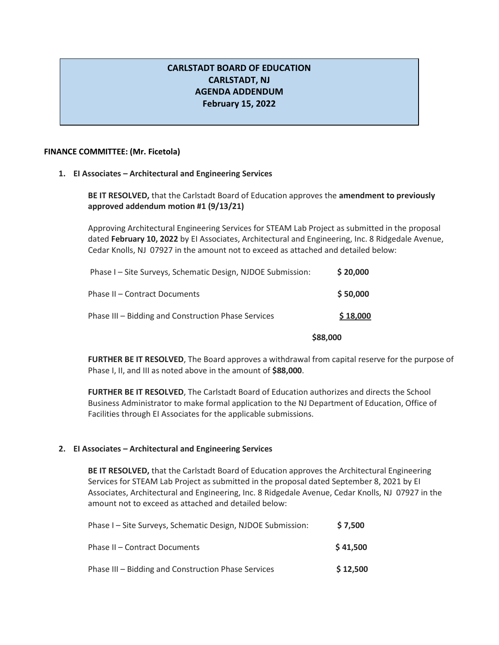## **CARLSTADT BOARD OF EDUCATION CARLSTADT, NJ AGENDA ADDENDUM February 15, 2022**

## **FINANCE COMMITTEE: (Mr. Ficetola)**

## **1. EI Associates – Architectural and Engineering Services**

**BE IT RESOLVED,** that the Carlstadt Board of Education approves the **amendment to previously approved addendum motion #1 (9/13/21)**

Approving Architectural Engineering Services for STEAM Lab Project as submitted in the proposal dated **February 10, 2022** by EI Associates, Architectural and Engineering, Inc. 8 Ridgedale Avenue, Cedar Knolls, NJ 07927 in the amount not to exceed as attached and detailed below:

| Phase I - Site Surveys, Schematic Design, NJDOE Submission: | \$20,000 |
|-------------------------------------------------------------|----------|
| Phase II - Contract Documents                               | \$50,000 |
| Phase III – Bidding and Construction Phase Services         | \$18,000 |

**\$88,000**

**FURTHER BE IT RESOLVED**, The Board approves a withdrawal from capital reserve for the purpose of Phase I, II, and III as noted above in the amount of **\$88,000**.

**FURTHER BE IT RESOLVED**, The Carlstadt Board of Education authorizes and directs the School Business Administrator to make formal application to the NJ Department of Education, Office of Facilities through EI Associates for the applicable submissions.

## **2. EI Associates – Architectural and Engineering Services**

**BE IT RESOLVED,** that the Carlstadt Board of Education approves the Architectural Engineering Services for STEAM Lab Project as submitted in the proposal dated September 8, 2021 by EI Associates, Architectural and Engineering, Inc. 8 Ridgedale Avenue, Cedar Knolls, NJ 07927 in the amount not to exceed as attached and detailed below:

| Phase I - Site Surveys, Schematic Design, NJDOE Submission: | \$7,500  |
|-------------------------------------------------------------|----------|
| Phase II - Contract Documents                               | \$41,500 |
| Phase III - Bidding and Construction Phase Services         | \$12,500 |